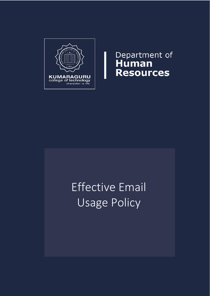

Department of<br>Human<br>Resources

# Effective Email Usage Policy

i I I I I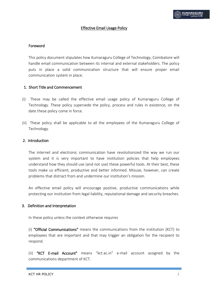## Effective Email Usage Policy

#### Foreword

This policy document stipulates how Kumaraguru College of Technology, Coimbatore will handle email communication between its internal and external stakeholders. The policy puts in place a solid communication structure that will ensure proper email communication system in place.

#### 1. Short Title and Commencement

- (i) These may be called the effective email usage policy of Kumaraguru College of Technology. These policy supersede the policy, process and rules in existence, on the date these policy come in force.
- (ii) These policy shall be applicable to all the employees of the Kumaraguru College of Technology.

#### 2. Introduction

The internet and electronic communication have revolutionized the way we run our system and it is very important to have institution policies that help employees understand how they should use (and not use) these powerful tools. At their best, these tools make us efficient, productive and better informed. Misuse, however, can create problems that distract from and undermine our institution's mission.

An effective email policy will encourage positive, productive communications while protecting our institution from legal liability, reputational damage and security breaches.

#### 3. Definition and Interpretation

In these policy unless the context otherwise requires

(i) "Official Communications" means the communications from the institution (KCT) to employees that are important and that may trigger an obligation for the recipient to respond.

(ii) "KCT E-mail Account" means "kct.ac.in" e-mail account assigned by the communications department of KCT.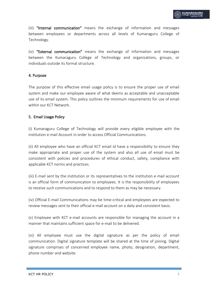(iii) "Internal communication" means the exchange of information and messages between employees or departments across all levels of Kumaraguru College of Technology.

(iv) "External communication" means the exchange of information and messages between the Kumaraguru College of Technology and organizations, groups, or individuals outside its formal structure.

## 4. Purpose

The purpose of this effective email usage policy is to ensure the proper use of email system and make our employee aware of what deems as acceptable and unacceptable use of its email system. This policy outlines the minimum requirements for use of email within our KCT Network.

#### 5. Email Usage Policy

(i) Kumaraguru College of Technology will provide every eligible employee with the institution e-mail Account in order to access Official Communications.

(ii) All employee who have an official KCT email id have a responsibility to ensure they make appropriate and proper use of the system and also all use of email must be consistent with policies and procedures of ethical conduct, safety, compliance with applicable KCT norms and practices.

(iii) E-mail sent by the institution or its representatives to the institution e-mail account is an official form of communication to employees. It is the responsibility of employees to receive such communications and to respond to them as may be necessary.

(iv) Official E-mail Communications may be time-critical and employees are expected to review messages sent to their official e-mail account on a daily and consistent basis.

(v) Employee with KCT e-mail accounts are responsible for managing the account in a manner that maintains sufficient space for e-mail to be delivered.

(vi) All employee must use the digital signature as per the policy of email communication. Digital signature template will be shared at the time of joining. Digital signature comprises of concerned employee name, photo, designation, department, phone number and website.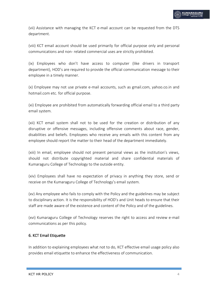(vii) Assistance with managing the KCT e-mail account can be requested from the DTS department.

(viii) KCT email account should be used primarily for official purpose only and personal communications and non- related commercial uses are strictly prohibited.

(ix) Employees who don't have access to computer (like drivers in transport department), HOD's are required to provide the official communication message to their employee in a timely manner.

(x) Employee may not use private e-mail accounts, such as gmail.com, yahoo.co.in and hotmail.com etc. for official purpose.

(xi) Employee are prohibited from automatically forwarding official email to a third party email system.

(xii) KCT email system shall not to be used for the creation or distribution of any disruptive or offensive messages, including offensive comments about race, gender, disabilities and beliefs. Employees who receive any emails with this content from any employee should report the matter to their head of the department immediately.

(xiii) In email, employee should not present personal views as the institution's views, should not distribute copyrighted material and share confidential materials of Kumaraguru College of Technology to the outside entity.

(xiv) Employees shall have no expectation of privacy in anything they store, send or receive on the Kumaraguru College of Technology's email system.

(xv) Any employee who fails to comply with the Policy and the guidelines may be subject to disciplinary action. It is the responsibility of HOD's and Unit heads to ensure that their staff are made aware of the existence and content of the Policy and of the guidelines.

(xvi) Kumaraguru College of Technology reserves the right to access and review e-mail communications as per this policy.

# 6. KCT Email Etiquette

In addition to explaining employees what not to do, KCT effective email usage policy also provides email etiquette to enhance the effectiveness of communication.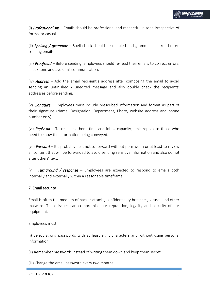(i) *Professionalism* – Emails should be professional and respectful in tone irrespective of formal or casual.

(ii) *Spelling / grammar* – Spell check should be enabled and grammar checked before sending emails.

(iii) *Proofread* – Before sending, employees should re-read their emails to correct errors, check tone and avoid miscommunication.

(iv) *Address* – Add the email recipient's address after composing the email to avoid sending an unfinished / unedited message and also double check the recipients' addresses before sending.

(v) *Signature* – Employees must include prescribed information and format as part of their signature (Name, Designation, Department, Photo, website address and phone number only).

(vi) *Reply all* – To respect others' time and inbox capacity, limit replies to those who need to know the information being conveyed.

(vii) *Forward* – It's probably best not to forward without permission or at least to review all content that will be forwarded to avoid sending sensitive information and also do not alter others' text.

(viii) *Turnaround / response* – Employees are expected to respond to emails both internally and externally within a reasonable timeframe.

# 7. Email security

Email is often the medium of hacker attacks, confidentiality breaches, viruses and other malware. These issues can compromise our reputation, legality and security of our equipment.

Employees must

(i) Select strong passwords with at least eight characters and without using personal information

(ii) Remember passwords instead of writing them down and keep them secret.

(iii) Change the email password every two months.